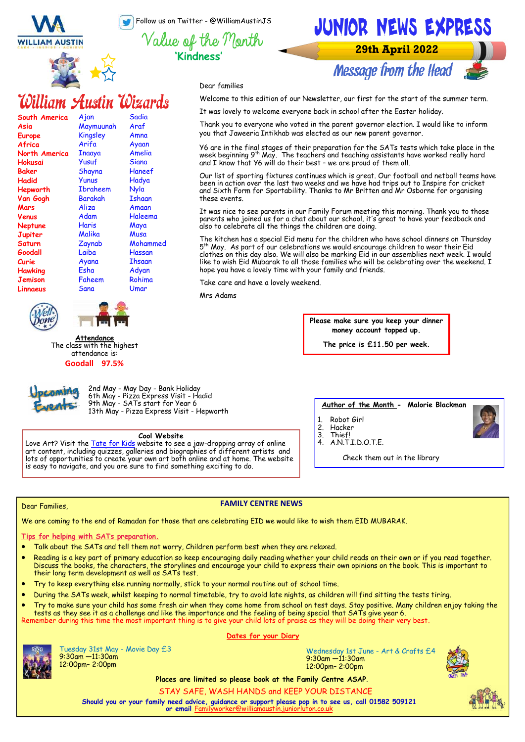Follow us on Twitter - @WilliamAustinJS

**'Kindness'**

Dear families

these events.

Mrs Adams

**WILLIAM AUSTIN** 



# William Austin Wizards

| South America  | <u>Ajan</u>     | Sadia         |
|----------------|-----------------|---------------|
| Asia           | Maymuunah       | Araf          |
| Europe         | Kingsley        | Amna          |
| Africa         | Arifa           | Ayaan         |
| North America  | Inaaya          | Amelia        |
| Hokusai        | Yusuf           | Siana         |
| <b>Baker</b>   | Shayna          | Haneef        |
| Hadid          | Yunus           | Hadya         |
| Hepworth       | <b>Ibraheem</b> | Nyla          |
| Van Gogh       | Barakah         | Ishaan        |
| Mars           | Aliza           | Amaan         |
| Venus          | Adam            | Haleema       |
| <b>Neptune</b> | <b>Haris</b>    | Maya          |
| Jupiter        | Malika          | Musa          |
| Saturn         | Zaynab          | Mohammed      |
| Goodall        | Laiba           | Hassan        |
| Curie          | Ayana           | <b>Thsaan</b> |
| <b>Hawking</b> | Esha            | Adyan         |
| Jemison        | Faheem          | Rohima        |
| Linnaeus       | Sana            | Umar          |
|                |                 |               |





**Attendance** The class with the highest attendance is: **Goodall 97.5%**



2nd May - May Day - Bank Holiday 6th May - Pizza Express Visit - Hadid 9th May - SATs start for Year 6 13th May - Pizza Express Visit - Hepworth

# **Cool Website**

Love Art? Visit the [Tate for Kids w](https://www.tate.org.uk/kids)ebsite to see a jaw-dropping array of online art content, including quizzes, galleries and biographies of different artists and lots of opportunities to create your own art both online and at home. The website is easy to navigate, and you are sure to find something exciting to do.

**Author of the Month - Malorie Blackman**

**Please make sure you keep your dinner money account topped up. The price is £11.50 per week.**

**29th April 2022** 

**Message from the Head** 

JUNIOR NEWS EXPRESS

Welcome to this edition of our Newsletter, our first for the start of the summer term.

Thank you to everyone who voted in the parent governor election. I would like to inform

Y6 are in the final stages of their preparation for the SATs tests which take place in the week beginning 9th May. The teachers and teaching assistants have worked really hard

Our list of sporting fixtures continues which is great. Our football and netball teams have been in action over the last two weeks and we have had trips out to Inspire for cricket and Sixth Form for Sportability. Thanks to Mr Britten and Mr Osborne for organising

It was nice to see parents in our Family Forum meeting this morning. Thank you to those parents who joined us for a chat about our school, it's great to have your feedback and

The kitchen has a special Eid menu for the children who have school dinners on Thursday 5<sup>th</sup> May. As part of our celebrations we would encourage children to wear their Eid clothes on this day also. We will also be marking Eid in our assemblies next week. I would like to wish Eid Mubarak to all those families who will be celebrating over the weekend. I

It was lovely to welcome everyone back in school after the Easter holiday.

you that Jaweeria Intikhab was elected as our new parent governor.

and I know that Y6 will do their best – we are proud of them all.

also to celebrate all the things the children are doing.

hope you have a lovely time with your family and friends.

Take care and have a lovely weekend.

- 1. Robot Girl
- 2. Hacker<br>3. Thief! 3. Thief!
- 4. A.N.T.I.D.O.T.E.

Check them out in the library

# Dear Families,

# **FAMILY CENTRE NEWS**

We are coming to the end of Ramadan for those that are celebrating EID we would like to wish them EID MUBARAK.

**Tips for helping with SATs preparation.**

- Talk about the SATs and tell them not worry, Children perform best when they are relaxed.
- Reading is a key part of primary education so keep encouraging daily reading whether your child reads on their own or if you read together. Discuss the books, the characters, the storylines and encourage your child to express their own opinions on the book. This is important to their long term development as well as SATs test.
- Try to keep everything else running normally, stick to your normal routine out of school time.
- During the SATs week, whilst keeping to normal timetable, try to avoid late nights, as children will find sitting the tests tiring.
- Try to make sure your child has some fresh air when they come home from school on test days. Stay positive. Many children enjoy taking the tests as they see it as a challenge and like the importance and the feeling of being special that SATs give year 6.

**Dates for your Diary**

# Remember during this time the most important thing is to give your child lots of praise as they will be doing their very best.



Tuesday 31st May - Movie Day £3 9:30am —11:30am 12:00pm– 2:00pm

Wednesday 1st June - Art & Crafts £4 9:30am —11:30am 12:00pm– 2:00pm



**Places are limited so please book at the Family Centre ASAP**.

STAY SAFE, WASH HANDS and KEEP YOUR DISTANCE

**Should you or your family need advice, guidance or support please pop in to see us, call 01582 509121 or email** F